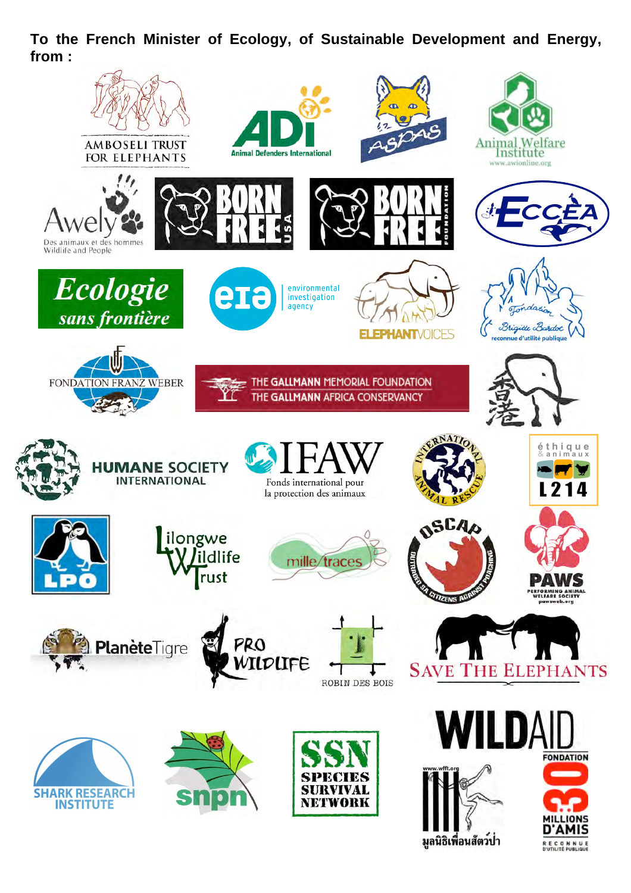**To the French Minister of Ecology, of Sustainable Development and Energy, from :**

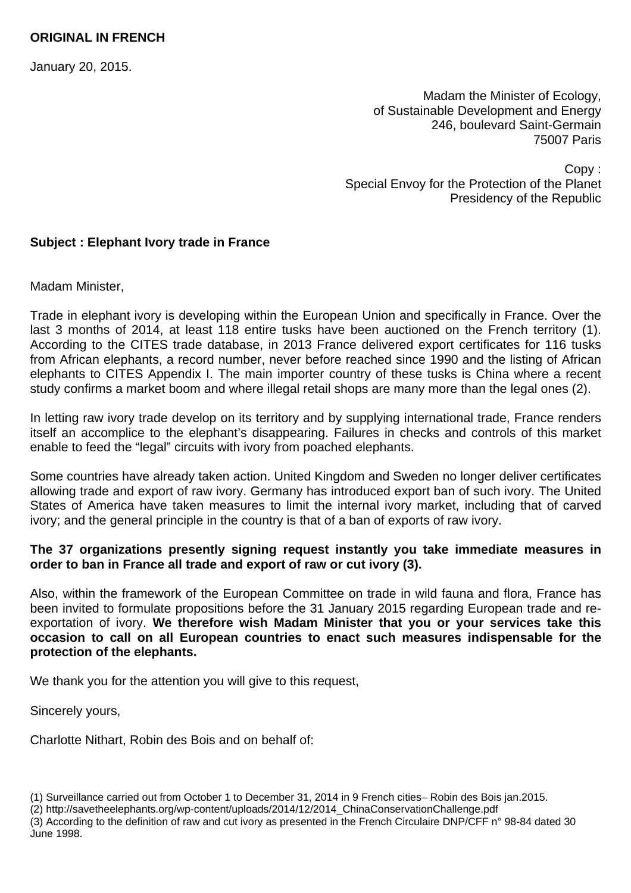## **ORIGINAL IN FRENCH**

January 20, 2015.

Madam the Minister of Ecology, of Sustainable Development and Energy 246, boulevard Saint-Germain 75007 Paris

Copy : Special Envoy for the Protection of the Planet Presidency of the Republic

## **Subject : Elephant Ivory trade in France**

Madam Minister,

Trade in elephant ivory is developing within the European Union and specifically in France. Over the last 3 months of 2014, at least 118 entire tusks have been auctioned on the French territory (1). According to the CITES trade database, in 2013 France delivered export certificates for 116 tusks from African elephants, a record number, never before reached since 1990 and the listing of African elephants to CITES Appendix I. The main importer country of these tusks is China where a recent study confirms a market boom and where illegal retail shops are many more than the legal ones (2).

In letting raw ivory trade develop on its territory and by supplying international trade, France renders itself an accomplice to the elephant's disappearing. Failures in checks and controls of this market enable to feed the "legal" circuits with ivory from poached elephants.

Some countries have already taken action. United Kingdom and Sweden no longer deliver certificates allowing trade and export of raw ivory. Germany has introduced export ban of such ivory. The United States of America have taken measures to limit the internal ivory market, including that of carved ivory; and the general principle in the country is that of a ban of exports of raw ivory.

## **The 37 organizations presently signing request instantly you take immediate measures in order to ban in France all trade and export of raw or cut ivory (3).**

Also, within the framework of the European Committee on trade in wild fauna and flora, France has been invited to formulate propositions before the 31 January 2015 regarding European trade and reexportation of ivory. **We therefore wish Madam Minister that you or your services take this occasion to call on all European countries to enact such measures indispensable for the protection of the elephants.** 

We thank you for the attention you will give to this request.

Sincerely yours,

Charlotte Nithart, Robin des Bois and on behalf of:

(3) According to the definition of raw and cut ivory as presented in the French Circulaire DNP/CFF n° 98-84 dated 30 June 1998.

<sup>(1)</sup> Surveillance carried out from October 1 to December 31, 2014 in 9 French cities– Robin des Bois jan.2015.

<sup>(2)</sup> http://savetheelephants.org/wp-content/uploads/2014/12/2014\_ChinaConservationChallenge.pdf